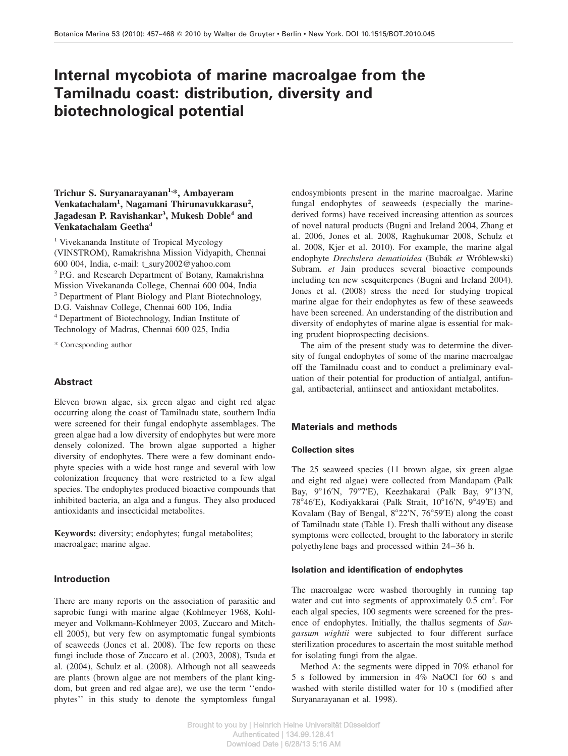# **Internal mycobiota of marine macroalgae from the Tamilnadu coast: distribution, diversity and biotechnological potential**

## **Trichur S. Suryanarayanan1,\*, Ambayeram Venkatachalam<sup>1</sup> , Nagamani Thirunavukkarasu<sup>2</sup> , Jagadesan P. Ravishankar<sup>3</sup> , Mukesh Doble<sup>4</sup> and Venkatachalam Geetha<sup>4</sup>**

<sup>1</sup> Vivekananda Institute of Tropical Mycology (VINSTROM), Ramakrishna Mission Vidyapith, Chennai 600 004, India, e-mail: t\_sury2002@yahoo.com <sup>2</sup> P.G. and Research Department of Botany, Ramakrishna Mission Vivekananda College, Chennai 600 004, India <sup>3</sup> Department of Plant Biology and Plant Biotechnology, D.G. Vaishnav College, Chennai 600 106, India <sup>4</sup> Department of Biotechnology, Indian Institute of Technology of Madras, Chennai 600 025, India

\* Corresponding author

## **Abstract**

Eleven brown algae, six green algae and eight red algae occurring along the coast of Tamilnadu state, southern India were screened for their fungal endophyte assemblages. The green algae had a low diversity of endophytes but were more densely colonized. The brown algae supported a higher diversity of endophytes. There were a few dominant endophyte species with a wide host range and several with low colonization frequency that were restricted to a few algal species. The endophytes produced bioactive compounds that inhibited bacteria, an alga and a fungus. They also produced antioxidants and insecticidal metabolites.

**Keywords:** diversity; endophytes; fungal metabolites; macroalgae; marine algae.

#### **Introduction**

There are many reports on the association of parasitic and saprobic fungi with marine algae (Kohlmeyer 1968, Kohlmeyer and Volkmann-Kohlmeyer 2003, Zuccaro and Mitchell 2005), but very few on asymptomatic fungal symbionts of seaweeds (Jones et al. 2008). The few reports on these fungi include those of Zuccaro et al. (2003, 2008), Tsuda et al. (2004), Schulz et al. (2008). Although not all seaweeds are plants (brown algae are not members of the plant kingdom, but green and red algae are), we use the term ''endophytes'' in this study to denote the symptomless fungal endosymbionts present in the marine macroalgae. Marine fungal endophytes of seaweeds (especially the marinederived forms) have received increasing attention as sources of novel natural products (Bugni and Ireland 2004, Zhang et al. 2006, Jones et al. 2008, Raghukumar 2008, Schulz et al. 2008, Kjer et al. 2010). For example, the marine algal endophyte *Drechslera dematioidea* (Buba´k *et* Wro´blewski) Subram. *et* Jain produces several bioactive compounds including ten new sesquiterpenes (Bugni and Ireland 2004). Jones et al. (2008) stress the need for studying tropical marine algae for their endophytes as few of these seaweeds have been screened. An understanding of the distribution and diversity of endophytes of marine algae is essential for making prudent bioprospecting decisions.

The aim of the present study was to determine the diversity of fungal endophytes of some of the marine macroalgae off the Tamilnadu coast and to conduct a preliminary evaluation of their potential for production of antialgal, antifungal, antibacterial, antiinsect and antioxidant metabolites.

## **Materials and methods**

## **Collection sites**

The 25 seaweed species (11 brown algae, six green algae and eight red algae) were collected from Mandapam (Palk Bay,  $9^{\circ}16'N$ ,  $79^{\circ}7'E$ ), Keezhakarai (Palk Bay,  $9^{\circ}13'N$ , 78°46'E), Kodiyakkarai (Palk Strait, 10°16'N, 9°49'E) and Kovalam (Bay of Bengal,  $8^{\circ}22'N$ ,  $76^{\circ}59'E$ ) along the coast of Tamilnadu state (Table 1). Fresh thalli without any disease symptoms were collected, brought to the laboratory in sterile polyethylene bags and processed within 24–36 h.

#### **Isolation and identification of endophytes**

The macroalgae were washed thoroughly in running tap water and cut into segments of approximately 0.5 cm<sup>2</sup>. For each algal species, 100 segments were screened for the presence of endophytes. Initially, the thallus segments of *Sargassum wightii* were subjected to four different surface sterilization procedures to ascertain the most suitable method for isolating fungi from the algae.

Method A: the segments were dipped in 70% ethanol for 5 s followed by immersion in 4% NaOCl for 60 s and washed with sterile distilled water for 10 s (modified after Suryanarayanan et al. 1998).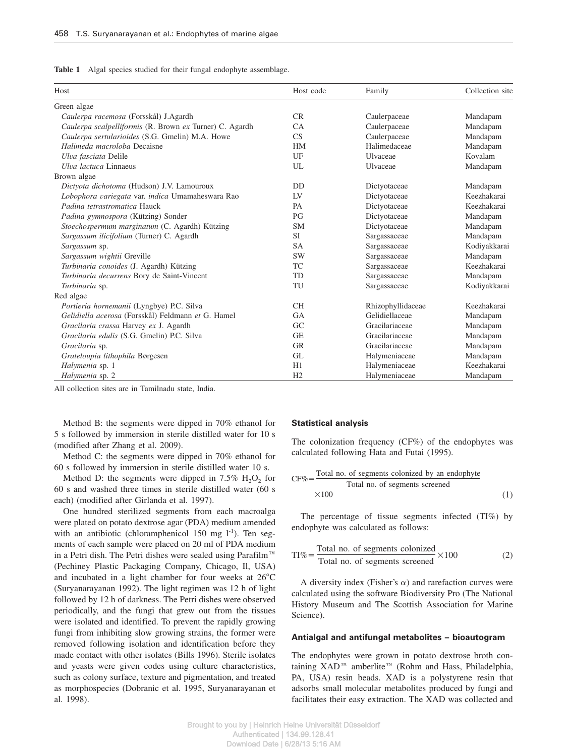|  |  |  |  |  |  |  |  | Table 1 Algal species studied for their fungal endophyte assemblage. |
|--|--|--|--|--|--|--|--|----------------------------------------------------------------------|
|--|--|--|--|--|--|--|--|----------------------------------------------------------------------|

| Host                                                    | Host code      | Family            | Collection site |
|---------------------------------------------------------|----------------|-------------------|-----------------|
| Green algae                                             |                |                   |                 |
| Caulerpa racemosa (Forsskål) J.Agardh                   | CR             | Caulerpaceae      | Mandapam        |
| Caulerpa scalpelliformis (R. Brown ex Turner) C. Agardh | CA             | Caulerpaceae      | Mandapam        |
| Caulerpa sertularioides (S.G. Gmelin) M.A. Howe         | CS             | Caulerpaceae      | Mandapam        |
| Halimeda macroloba Decaisne                             | <b>HM</b>      | Halimedaceae      | Mandapam        |
| Ulva fasciata Delile                                    | UF             | Ulvaceae          | Kovalam         |
| Ulva lactuca Linnaeus                                   | UL             | Ulvaceae          | Mandapam        |
| Brown algae                                             |                |                   |                 |
| Dictyota dichotoma (Hudson) J.V. Lamouroux              | D <sub>D</sub> | Dictyotaceae      | Mandapam        |
| Lobophora variegata var. indica Umamaheswara Rao        | LV             | Dictyotaceae      | Keezhakarai     |
| Padina tetrastromatica Hauck                            | <b>PA</b>      | Dictyotaceae      | Keezhakarai     |
| Padina gymnospora (Kützing) Sonder                      | PG             | Dictyotaceae      | Mandapam        |
| Stoechospermum marginatum (C. Agardh) Kützing           | <b>SM</b>      | Dictyotaceae      | Mandapam        |
| Sargassum ilicifolium (Turner) C. Agardh                | <b>SI</b>      | Sargassaceae      | Mandapam        |
| Sargassum sp.                                           | <b>SA</b>      | Sargassaceae      | Kodiyakkarai    |
| Sargassum wightii Greville                              | <b>SW</b>      | Sargassaceae      | Mandapam        |
| Turbinaria conoides (J. Agardh) Kützing                 | <b>TC</b>      | Sargassaceae      | Keezhakarai     |
| Turbinaria decurrens Bory de Saint-Vincent              | TD             | Sargassaceae      | Mandapam        |
| Turbinaria sp.                                          | TU             | Sargassaceae      | Kodiyakkarai    |
| Red algae                                               |                |                   |                 |
| Portieria hornemanii (Lyngbye) P.C. Silva               | <b>CH</b>      | Rhizophyllidaceae | Keezhakarai     |
| Gelidiella acerosa (Forsskål) Feldmann et G. Hamel      | <b>GA</b>      | Gelidiellaceae    | Mandapam        |
| Gracilaria crassa Harvey ex J. Agardh                   | GC             | Gracilariaceae    | Mandapam        |
| Gracilaria edulis (S.G. Gmelin) P.C. Silva              | <b>GE</b>      | Gracilariaceae    | Mandapam        |
| Gracilaria sp.                                          | <b>GR</b>      | Gracilariaceae    | Mandapam        |
| Grateloupia lithophila Børgesen                         | GL             | Halymeniaceae     | Mandapam        |
| Halymenia sp. 1                                         | H1             | Halymeniaceae     | Keezhakarai     |
| Halymenia sp. 2                                         | H2             | Halymeniaceae     | Mandapam        |

All collection sites are in Tamilnadu state, India.

Method B: the segments were dipped in 70% ethanol for 5 s followed by immersion in sterile distilled water for 10 s (modified after Zhang et al. 2009).

Method C: the segments were dipped in 70% ethanol for 60 s followed by immersion in sterile distilled water 10 s.

Method D: the segments were dipped in  $7.5\%$   $H_2O_2$  for 60 s and washed three times in sterile distilled water (60 s each) (modified after Girlanda et al. 1997).

One hundred sterilized segments from each macroalga were plated on potato dextrose agar (PDA) medium amended with an antibiotic (chloramphenicol 150 mg  $1^{-1}$ ). Ten segments of each sample were placed on 20 ml of PDA medium in a Petri dish. The Petri dishes were sealed using Parafilm<sup>™</sup> (Pechiney Plastic Packaging Company, Chicago, Il, USA) and incubated in a light chamber for four weeks at  $26^{\circ}$ C (Suryanarayanan 1992). The light regimen was 12 h of light followed by 12 h of darkness. The Petri dishes were observed periodically, and the fungi that grew out from the tissues were isolated and identified. To prevent the rapidly growing fungi from inhibiting slow growing strains, the former were removed following isolation and identification before they made contact with other isolates (Bills 1996). Sterile isolates and yeasts were given codes using culture characteristics, such as colony surface, texture and pigmentation, and treated as morphospecies (Dobranic et al. 1995, Suryanarayanan et al. 1998).

#### **Statistical analysis**

The colonization frequency (CF%) of the endophytes was calculated following Hata and Futai (1995).

$$
CF\% = \frac{\text{Total no. of segments colonized by an endophyte}}{\text{Total no. of segments screened}} \tag{1}
$$

The percentage of tissue segments infected (TI%) by endophyte was calculated as follows:

$$
TI\% = \frac{\text{Total no. of segments colonized}}{\text{Total no. of segments screened}} \times 100
$$
 (2)

A diversity index (Fisher's  $\alpha$ ) and rarefaction curves were calculated using the software Biodiversity Pro (The National History Museum and The Scottish Association for Marine Science).

#### **Antialgal and antifungal metabolites – bioautogram**

The endophytes were grown in potato dextrose broth containing XAD<sup>™</sup> amberlite<sup>™</sup> (Rohm and Hass, Philadelphia, PA, USA) resin beads. XAD is a polystyrene resin that adsorbs small molecular metabolites produced by fungi and facilitates their easy extraction. The XAD was collected and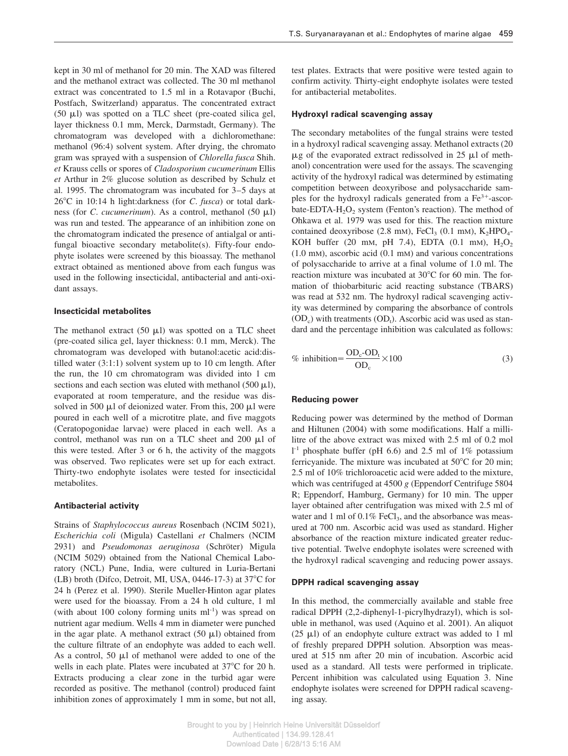kept in 30 ml of methanol for 20 min. The XAD was filtered and the methanol extract was collected. The 30 ml methanol extract was concentrated to 1.5 ml in a Rotavapor (Buchi, Postfach, Switzerland) apparatus. The concentrated extract (50  $\mu$ l) was spotted on a TLC sheet (pre-coated silica gel, layer thickness 0.1 mm, Merck, Darmstadt, Germany). The chromatogram was developed with a dichloromethane: methanol (96:4) solvent system. After drying, the chromato gram was sprayed with a suspension of *Chlorella fusca* Shih. *et* Krauss cells or spores of *Cladosporium cucumerinum* Ellis *et* Arthur in 2% glucose solution as described by Schulz et al. 1995. The chromatogram was incubated for 3–5 days at 268C in 10:14 h light:darkness (for *C*. *fusca*) or total darkness (for *C. cucumerinum*). As a control, methanol (50  $\mu$ l) was run and tested. The appearance of an inhibition zone on the chromatogram indicated the presence of antialgal or antifungal bioactive secondary metabolite(s). Fifty-four endophyte isolates were screened by this bioassay. The methanol extract obtained as mentioned above from each fungus was used in the following insecticidal, antibacterial and anti-oxidant assays.

## **Insecticidal metabolites**

The methanol extract  $(50 \mu l)$  was spotted on a TLC sheet (pre-coated silica gel, layer thickness: 0.1 mm, Merck). The chromatogram was developed with butanol:acetic acid:distilled water (3:1:1) solvent system up to 10 cm length. After the run, the 10 cm chromatogram was divided into 1 cm sections and each section was eluted with methanol (500  $\mu$ l), evaporated at room temperature, and the residue was dissolved in 500  $\mu$ l of deionized water. From this, 200  $\mu$ l were poured in each well of a microtitre plate, and five maggots (Ceratopogonidae larvae) were placed in each well. As a control, methanol was run on a TLC sheet and 200  $\mu$ l of this were tested. After 3 or 6 h, the activity of the maggots was observed. Two replicates were set up for each extract. Thirty-two endophyte isolates were tested for insecticidal metabolites.

#### **Antibacterial activity**

Strains of *Staphylococcus aureus* Rosenbach (NCIM 5021), *Escherichia coli* (Migula) Castellani *et* Chalmers (NCIM 2931) and *Pseudomonas aeruginosa* (Schröter) Migula (NCIM 5029) obtained from the National Chemical Laboratory (NCL) Pune, India, were cultured in Luria-Bertani (LB) broth (Difco, Detroit, MI, USA, 0446-17-3) at  $37^{\circ}$ C for 24 h (Perez et al. 1990). Sterile Mueller-Hinton agar plates were used for the bioassay. From a 24 h old culture, 1 ml (with about 100 colony forming units  $ml^{-1}$ ) was spread on nutrient agar medium. Wells 4 mm in diameter were punched in the agar plate. A methanol extract  $(50 \mu l)$  obtained from the culture filtrate of an endophyte was added to each well. As a control, 50  $\mu$ l of methanol were added to one of the wells in each plate. Plates were incubated at  $37^{\circ}$ C for 20 h. Extracts producing a clear zone in the turbid agar were recorded as positive. The methanol (control) produced faint inhibition zones of approximately 1 mm in some, but not all,

test plates. Extracts that were positive were tested again to confirm activity. Thirty-eight endophyte isolates were tested for antibacterial metabolites.

#### **Hydroxyl radical scavenging assay**

The secondary metabolites of the fungal strains were tested in a hydroxyl radical scavenging assay. Methanol extracts (20  $\mu$ g of the evaporated extract redissolved in 25  $\mu$ l of methanol) concentration were used for the assays. The scavenging activity of the hydroxyl radical was determined by estimating competition between deoxyribose and polysaccharide samples for the hydroxyl radicals generated from a  $Fe<sup>3+</sup>$ -ascorbate-EDTA- $H_2O_2$  system (Fenton's reaction). The method of Ohkawa et al. 1979 was used for this. The reaction mixture contained deoxyribose (2.8 mm),  $\text{FeCl}_3$  (0.1 mm),  $\text{K}_2\text{HPO}_4$ -KOH buffer (20 mm, pH 7.4), EDTA (0.1 mm),  $H_2O_2$ (1.0 mM), ascorbic acid (0.1 mM) and various concentrations of polysaccharide to arrive at a final volume of 1.0 ml. The reaction mixture was incubated at  $30^{\circ}$ C for 60 min. The formation of thiobarbituric acid reacting substance (TBARS) was read at 532 nm. The hydroxyl radical scavenging activity was determined by comparing the absorbance of controls  $(OD_c)$  with treatments  $(OD_t)$ . Ascorbic acid was used as standard and the percentage inhibition was calculated as follows:

$$
\% \text{ inhibition} = \frac{\text{OD}_c - \text{OD}_t}{\text{OD}_c} \times 100 \tag{3}
$$

#### **Reducing power**

Reducing power was determined by the method of Dorman and Hiltunen (2004) with some modifications. Half a millilitre of the above extract was mixed with 2.5 ml of 0.2 mol l -1 phosphate buffer (pH 6.6) and 2.5 ml of 1% potassium ferricyanide. The mixture was incubated at  $50^{\circ}$ C for 20 min; 2.5 ml of 10% trichloroacetic acid were added to the mixture, which was centrifuged at 4500 *g* (Eppendorf Centrifuge 5804 R; Eppendorf, Hamburg, Germany) for 10 min. The upper layer obtained after centrifugation was mixed with 2.5 ml of water and 1 ml of  $0.1\%$  FeCl<sub>3</sub>, and the absorbance was measured at 700 nm. Ascorbic acid was used as standard. Higher absorbance of the reaction mixture indicated greater reductive potential. Twelve endophyte isolates were screened with the hydroxyl radical scavenging and reducing power assays.

#### **DPPH radical scavenging assay**

In this method, the commercially available and stable free radical DPPH (2,2-diphenyl-1-picrylhydrazyl), which is soluble in methanol, was used (Aquino et al. 2001). An aliquot (25  $\mu$ I) of an endophyte culture extract was added to 1 ml of freshly prepared DPPH solution. Absorption was measured at 515 nm after 20 min of incubation. Ascorbic acid used as a standard. All tests were performed in triplicate. Percent inhibition was calculated using Equation 3. Nine endophyte isolates were screened for DPPH radical scavenging assay.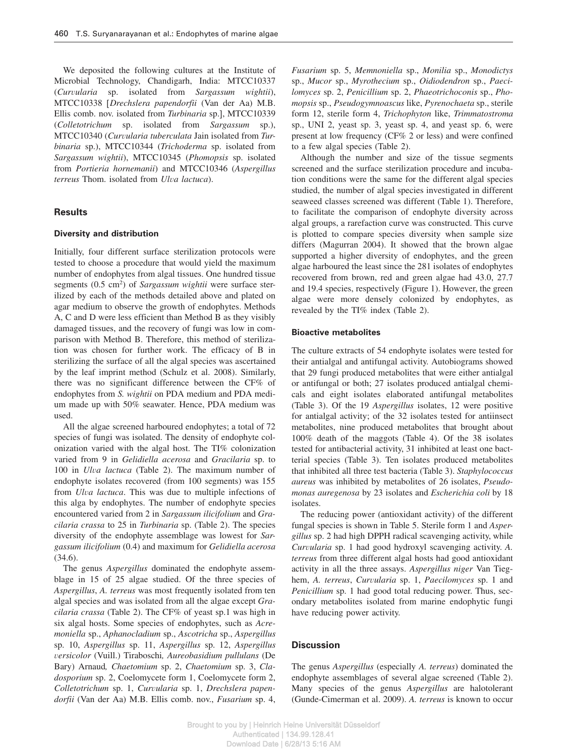We deposited the following cultures at the Institute of Microbial Technology, Chandigarh, India: MTCC10337 (*Curvularia* sp. isolated from *Sargassum wightii*), MTCC10338 [Drechslera papendorfii (Van der Aa) M.B. Ellis comb. nov. isolated from *Turbinaria* sp.], MTCC10339 (*Colletotrichum* sp. isolated from *Sargassum* sp.), MTCC10340 (*Curvularia tuberculata* Jain isolated from *Turbinaria* sp.), MTCC10344 (*Trichoderma* sp. isolated from *Sargassum wightii*), MTCC10345 (*Phomopsis* sp. isolated from *Portieria hornemanii*) and MTCC10346 (*Aspergillus terreus* Thom. isolated from *Ulva lactuca*).

## **Results**

## **Diversity and distribution**

Initially, four different surface sterilization protocols were tested to choose a procedure that would yield the maximum number of endophytes from algal tissues. One hundred tissue segments (0.5 cm<sup>2</sup>) of *Sargassum wightii* were surface sterilized by each of the methods detailed above and plated on agar medium to observe the growth of endophytes. Methods A, C and D were less efficient than Method B as they visibly damaged tissues, and the recovery of fungi was low in comparison with Method B. Therefore, this method of sterilization was chosen for further work. The efficacy of B in sterilizing the surface of all the algal species was ascertained by the leaf imprint method (Schulz et al. 2008). Similarly, there was no significant difference between the CF% of endophytes from *S. wightii* on PDA medium and PDA medium made up with 50% seawater. Hence, PDA medium was used.

All the algae screened harboured endophytes; a total of 72 species of fungi was isolated. The density of endophyte colonization varied with the algal host. The TI% colonization varied from 9 in *Gelidiella acerosa* and *Gracilaria* sp. to 100 in *Ulva lactuca* (Table 2). The maximum number of endophyte isolates recovered (from 100 segments) was 155 from *Ulva lactuca*. This was due to multiple infections of this alga by endophytes. The number of endophyte species encountered varied from 2 in *Sargassum ilicifolium* and *Gracilaria crassa* to 25 in *Turbinaria* sp. (Table 2). The species diversity of the endophyte assemblage was lowest for *Sargassum ilicifolium* (0.4) and maximum for *Gelidiella acerosa* (34.6).

The genus *Aspergillus* dominated the endophyte assemblage in 15 of 25 algae studied. Of the three species of *Aspergillus*, *A. terreus* was most frequently isolated from ten algal species and was isolated from all the algae except *Gracilaria crassa* (Table 2). The CF% of yeast sp.1 was high in six algal hosts. Some species of endophytes, such as *Acremoniella* sp., *Aphanocladium* sp., *Ascotricha* sp., *Aspergillus* sp. 10, *Aspergillus* sp. 11, *Aspergillus* sp. 12, *Aspergillus versicolor* (Vuill.) Tiraboschi*, Aureobasidium pullulans* (De Bary) Arnaud*, Chaetomium* sp. 2, *Chaetomium* sp. 3, *Cladosporium* sp. 2, Coelomycete form 1, Coelomycete form 2, *Colletotrichum* sp. 1, *Curvularia* sp. 1, *Drechslera papendorfii* (Van der Aa) M.B. Ellis comb. nov., *Fusarium* sp. 4,

*Fusarium* sp. 5, *Memnoniella* sp., *Monilia* sp., *Monodictys* sp., *Mucor* sp., *Myrothecium* sp., *Oidiodendron* sp., *Paecilomyces* sp. 2, *Penicillium* sp. 2, *Phaeotrichoconis* sp., *Phomopsis* sp., *Pseudogymnoascus* like, *Pyrenochaeta* sp., sterile form 12, sterile form 4, *Trichophyton* like, *Trimmatostroma* sp., UNI 2, yeast sp. 3, yeast sp. 4, and yeast sp. 6, were present at low frequency (CF% 2 or less) and were confined to a few algal species (Table 2).

Although the number and size of the tissue segments screened and the surface sterilization procedure and incubation conditions were the same for the different algal species studied, the number of algal species investigated in different seaweed classes screened was different (Table 1). Therefore, to facilitate the comparison of endophyte diversity across algal groups, a rarefaction curve was constructed. This curve is plotted to compare species diversity when sample size differs (Magurran 2004). It showed that the brown algae supported a higher diversity of endophytes, and the green algae harboured the least since the 281 isolates of endophytes recovered from brown, red and green algae had 43.0, 27.7 and 19.4 species, respectively (Figure 1). However, the green algae were more densely colonized by endophytes, as revealed by the TI% index (Table 2).

## **Bioactive metabolites**

The culture extracts of 54 endophyte isolates were tested for their antialgal and antifungal activity. Autobiograms showed that 29 fungi produced metabolites that were either antialgal or antifungal or both; 27 isolates produced antialgal chemicals and eight isolates elaborated antifungal metabolites (Table 3). Of the 19 *Aspergillus* isolates, 12 were positive for antialgal activity; of the 32 isolates tested for antiinsect metabolites, nine produced metabolites that brought about 100% death of the maggots (Table 4). Of the 38 isolates tested for antibacterial activity, 31 inhibited at least one bactterial species (Table 3). Ten isolates produced metabolites that inhibited all three test bacteria (Table 3). *Staphylococcus aureus* was inhibited by metabolites of 26 isolates, *Pseudomonas auregenosa* by 23 isolates and *Escherichia coli* by 18 isolates.

The reducing power (antioxidant activity) of the different fungal species is shown in Table 5. Sterile form 1 and *Aspergillus* sp. 2 had high DPPH radical scavenging activity, while *Curvularia* sp. 1 had good hydroxyl scavenging activity. *A. terreus* from three different algal hosts had good antioxidant activity in all the three assays. *Aspergillus niger* Van Tieghem, *A. terreus*, *Curvularia* sp. 1, *Paecilomyces* sp. 1 and *Penicillium* sp. 1 had good total reducing power. Thus, secondary metabolites isolated from marine endophytic fungi have reducing power activity.

#### **Discussion**

The genus *Aspergillus* (especially *A. terreus*) dominated the endophyte assemblages of several algae screened (Table 2). Many species of the genus *Aspergillus* are halotolerant (Gunde-Cimerman et al. 2009). *A. terreus* is known to occur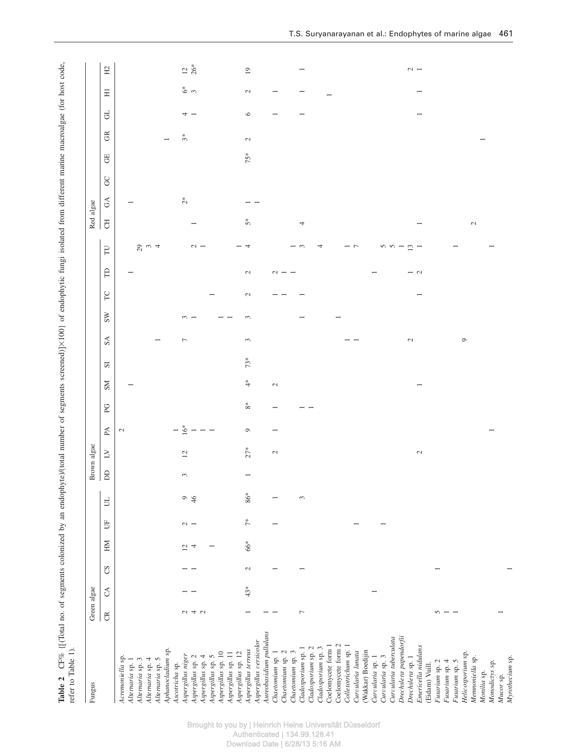| Fungus                                     |                          | Green algae   |               |                  |                             |       |                        | Brown algae    |                                                      |                          |                             |                         |                          |                          |              |                     |                          | Red algae                         |               |                |                             |                          |                          |                          |
|--------------------------------------------|--------------------------|---------------|---------------|------------------|-----------------------------|-------|------------------------|----------------|------------------------------------------------------|--------------------------|-----------------------------|-------------------------|--------------------------|--------------------------|--------------|---------------------|--------------------------|-----------------------------------|---------------|----------------|-----------------------------|--------------------------|--------------------------|--------------------------|
|                                            | $\widetilde{\mathbb{C}}$ | $\mathcal{L}$ | $\mathcal{S}$ | HМ               | 5                           | P,    | $\mathsf{D}\mathsf{D}$ | $\geq$         | $\mathbb A$                                          | $_{\rm PC}$              | $_{\rm NS}$                 | $\overline{\mathbf{s}}$ | $\mathbb{S}\mathbb{A}$   | $\Gamma$<br>$_{\rm{sw}}$ | $\beta$      | $\overline{\Gamma}$ | $\overline{\rm d}$       | $\rm G\rm A$                      | $\mathcal{S}$ | $\overline{G}$ | $\widetilde{\mathfrak{S}}$  | F                        | $\Xi$                    | $\rm H2$                 |
| Acremoniella sp.<br>Alternaria sp. 1       |                          |               |               |                  |                             |       |                        |                | $\mathcal{L}$                                        |                          |                             |                         |                          |                          |              |                     |                          |                                   |               |                |                             |                          |                          |                          |
| Alternaria sp. 3                           |                          |               |               |                  |                             |       |                        |                |                                                      |                          |                             |                         |                          |                          |              |                     |                          |                                   |               |                |                             |                          |                          |                          |
| Alternaria sp. 4                           |                          |               |               |                  |                             |       |                        |                |                                                      |                          |                             |                         |                          |                          |              | $29 - 4$            |                          |                                   |               |                |                             |                          |                          |                          |
| Alternaria sp. 5                           |                          |               |               |                  |                             |       |                        |                |                                                      |                          |                             |                         | $\overline{\phantom{0}}$ |                          |              |                     |                          |                                   |               |                |                             |                          |                          |                          |
| Aphanocladium sp.                          |                          |               |               |                  |                             |       |                        |                |                                                      |                          |                             |                         |                          |                          |              |                     |                          |                                   |               |                |                             |                          |                          |                          |
| Ascotricha sp.                             |                          |               |               |                  |                             |       |                        |                | $1\overline{6}^*$                                    |                          |                             |                         |                          |                          |              |                     |                          |                                   |               |                |                             |                          |                          |                          |
| Aspergillus niger                          | U4U                      |               |               | $\overline{5}$ 4 | $\sim$ $-$                  | 946   | $\sim$                 | $\overline{c}$ |                                                      |                          |                             |                         | $\overline{\phantom{a}}$ | $\frac{1}{2}$            |              |                     |                          | $\stackrel{*}{\scriptstyle \sim}$ |               |                | $\mathfrak{F}^*$            | $\rightarrow -$          | $6*$                     | $12*$                    |
| Aspergillus sp. 2                          |                          |               |               |                  |                             |       |                        |                | $\overline{\phantom{a}}$                             |                          |                             |                         |                          |                          |              | $\sim$ $-$          |                          |                                   |               |                |                             |                          |                          |                          |
| Aspergillus sp. 4                          |                          |               |               |                  |                             |       |                        |                | $\overline{\phantom{a}}$<br>$\overline{\phantom{0}}$ |                          |                             |                         |                          |                          |              |                     |                          |                                   |               |                |                             |                          |                          |                          |
| Aspergillus sp. 5                          |                          |               |               |                  |                             |       |                        |                |                                                      |                          |                             |                         |                          |                          |              |                     |                          |                                   |               |                |                             |                          |                          |                          |
| Aspergillus sp. 10                         |                          |               |               |                  |                             |       |                        |                |                                                      |                          |                             |                         |                          |                          |              |                     |                          |                                   |               |                |                             |                          |                          |                          |
| Aspergillus sp. 12<br>Aspergillus sp. 11   |                          |               |               |                  |                             |       |                        |                |                                                      |                          |                             |                         |                          |                          |              |                     |                          |                                   |               |                |                             |                          |                          |                          |
| Aspergillus terreus                        |                          | $43*$         | $\mathcal{L}$ | 66*              | $\stackrel{*}{\mathcal{T}}$ | $86*$ |                        | $27*$          | $\circ$                                              | $\rm{8^*}$               | $\stackrel{*}{\rightarrow}$ | $73*$                   | 3                        | $\mathcal{L}$<br>3       | $\mathbf{C}$ | $-4$                | 5*                       |                                   |               | $75*$          | $\mathcal{L}_{\mathcal{A}}$ | $\circ$                  | $\mathcal{L}$            | $\overline{19}$          |
| Aspergillus versicolor                     |                          |               |               |                  |                             |       |                        |                |                                                      |                          |                             |                         |                          |                          |              |                     |                          | $ -$                              |               |                |                             |                          |                          |                          |
| Aureobasidium pullulans                    |                          |               |               |                  |                             |       |                        |                |                                                      |                          |                             |                         |                          |                          |              |                     |                          |                                   |               |                |                             |                          |                          |                          |
| Chaetomium sp. 1                           |                          |               |               |                  |                             |       |                        | $\mathcal{L}$  | $\overline{\phantom{0}}$                             | $\overline{\phantom{0}}$ | $\mathcal{L}$               |                         |                          |                          |              |                     |                          |                                   |               |                |                             | $\overline{\phantom{0}}$ | $\overline{\phantom{0}}$ |                          |
| Chaetomium sp. 2                           |                          |               |               |                  |                             |       |                        |                |                                                      |                          |                             |                         |                          |                          | $\sim -1$    |                     |                          |                                   |               |                |                             |                          |                          |                          |
| Chaetomium sp. 3                           |                          |               |               |                  |                             |       |                        |                |                                                      |                          |                             |                         |                          |                          |              |                     |                          |                                   |               |                |                             |                          |                          |                          |
| Cladosporium sp. 1                         | $\overline{ }$           |               |               |                  |                             | 3     |                        |                |                                                      |                          |                             |                         |                          |                          |              | $ \circ$            | 4                        |                                   |               |                |                             | $\overline{\phantom{0}}$ | $\overline{\phantom{0}}$ | $\overline{\phantom{0}}$ |
| Cladosporium sp. 2                         |                          |               |               |                  |                             |       |                        |                |                                                      |                          |                             |                         |                          |                          |              |                     |                          |                                   |               |                |                             |                          |                          |                          |
| Cladosporium sp. 3                         |                          |               |               |                  |                             |       |                        |                |                                                      |                          |                             |                         |                          |                          |              | 4                   |                          |                                   |               |                |                             |                          |                          |                          |
| Coelomycete form 1                         |                          |               |               |                  |                             |       |                        |                |                                                      |                          |                             |                         |                          |                          |              |                     |                          |                                   |               |                |                             |                          |                          |                          |
| Coelomycete form 2                         |                          |               |               |                  |                             |       |                        |                |                                                      |                          |                             |                         |                          |                          |              |                     |                          |                                   |               |                |                             |                          |                          |                          |
| Colletotrichum sp. 1                       |                          |               |               |                  |                             |       |                        |                |                                                      |                          |                             |                         |                          |                          |              | $ \sim$             |                          |                                   |               |                |                             |                          |                          |                          |
| Curvularia lunata                          |                          |               |               |                  |                             |       |                        |                |                                                      |                          |                             |                         |                          |                          |              |                     |                          |                                   |               |                |                             |                          |                          |                          |
| (Wakkar) Boedijin                          |                          |               |               |                  |                             |       |                        |                |                                                      |                          |                             |                         |                          |                          |              |                     |                          |                                   |               |                |                             |                          |                          |                          |
| Curvularia sp. 1                           |                          |               |               |                  |                             |       |                        |                |                                                      |                          |                             |                         |                          |                          |              |                     |                          |                                   |               |                |                             |                          |                          |                          |
| Curvularia tuberculata<br>Curvularia sp. 3 |                          |               |               |                  |                             |       |                        |                |                                                      |                          |                             |                         |                          |                          |              |                     |                          |                                   |               |                |                             |                          |                          |                          |
| Drechslera papendorfii                     |                          |               |               |                  |                             |       |                        |                |                                                      |                          |                             |                         |                          |                          |              | $50 - 21 = 1$       |                          |                                   |               |                |                             |                          |                          |                          |
| Drechslera sp. 1                           |                          |               |               |                  |                             |       |                        |                |                                                      |                          |                             |                         | $\mathcal{L}$            |                          |              |                     |                          |                                   |               |                |                             |                          |                          |                          |
| Emericella nidulans                        |                          |               |               |                  |                             |       |                        | $\mathcal{L}$  |                                                      |                          |                             |                         |                          |                          | $ \sim$      |                     | $\overline{\phantom{0}}$ |                                   |               |                |                             | $\overline{\phantom{0}}$ | $\overline{\phantom{0}}$ | $\sim$ $-$               |
| (Eidam) Vuill.                             |                          |               |               |                  |                             |       |                        |                |                                                      |                          |                             |                         |                          |                          |              |                     |                          |                                   |               |                |                             |                          |                          |                          |
| Fusarium sp. 2                             |                          |               |               |                  |                             |       |                        |                |                                                      |                          |                             |                         |                          |                          |              |                     |                          |                                   |               |                |                             |                          |                          |                          |
| Fusarium sp. 4                             | $\sim -$                 |               |               |                  |                             |       |                        |                |                                                      |                          |                             |                         |                          |                          |              |                     |                          |                                   |               |                |                             |                          |                          |                          |
| Fusarium sp. 5                             |                          |               |               |                  |                             |       |                        |                |                                                      |                          |                             |                         |                          |                          |              |                     |                          |                                   |               |                |                             |                          |                          |                          |
| Helicosporium sp.                          |                          |               |               |                  |                             |       |                        |                |                                                      |                          |                             |                         | $\circ$                  |                          |              |                     |                          |                                   |               |                |                             |                          |                          |                          |
| Mennoniella sp.                            |                          |               |               |                  |                             |       |                        |                |                                                      |                          |                             |                         |                          |                          |              |                     | $\mathcal{L}$            |                                   |               |                |                             |                          |                          |                          |
| Monilia sp.                                |                          |               |               |                  |                             |       |                        |                |                                                      |                          |                             |                         |                          |                          |              |                     |                          |                                   |               |                |                             |                          |                          |                          |
| Monodictys sp.                             |                          |               |               |                  |                             |       |                        |                |                                                      |                          |                             |                         |                          |                          |              |                     |                          |                                   |               |                |                             |                          |                          |                          |
| Myrothecium sp.<br>Mucor sp.               |                          |               |               |                  |                             |       |                        |                |                                                      |                          |                             |                         |                          |                          |              |                     |                          |                                   |               |                |                             |                          |                          |                          |
|                                            |                          |               |               |                  |                             |       |                        |                |                                                      |                          |                             |                         |                          |                          |              |                     |                          |                                   |               |                |                             |                          |                          |                          |

Brought to you by | Heinrich Heine Universität Düsseldorf Authenticated | 134.99.128.41

Download Date | 6/28/13 5:16 AM

T.S. Suryanarayanan et al.: Endophytes of marine algae 461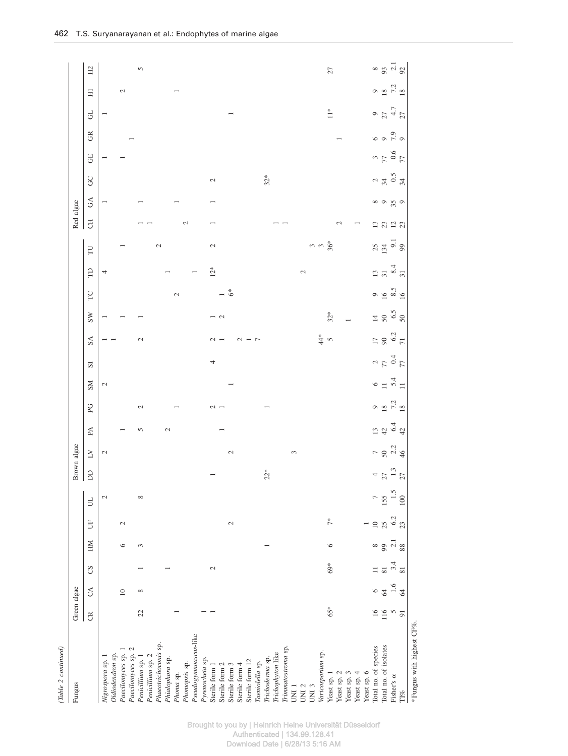| (Table 2 continued)                    |                 |                                          |                         |                                           |                  |                |                  |               |                  |               |                      |                      |                                |                          |                    |                                           |                          |                                                |                             |                                           |                     |                            |                              |               |                                           |
|----------------------------------------|-----------------|------------------------------------------|-------------------------|-------------------------------------------|------------------|----------------|------------------|---------------|------------------|---------------|----------------------|----------------------|--------------------------------|--------------------------|--------------------|-------------------------------------------|--------------------------|------------------------------------------------|-----------------------------|-------------------------------------------|---------------------|----------------------------|------------------------------|---------------|-------------------------------------------|
| Fungus                                 | Green algae     |                                          |                         |                                           |                  |                |                  | Brown algae   |                  |               |                      |                      |                                |                          |                    |                                           |                          | Red algae                                      |                             |                                           |                     |                            |                              |               |                                           |
|                                        | $\mathfrak{S}$  | $\mathcal{L}$                            | CS                      | MH                                        | 占                | $\exists$      | $\mathbf{D}$     | $\geq$        | $\mathbb A$      | PG            | SM                   | $\overline{S}$       | $S\Lambda$                     | SW                       | $\Gamma$           | $\mathsf{B}$                              | $\Gamma$                 | F                                              | $\mathfrak{S}$              | <b>GC</b>                                 | <b>UD</b>           | $\widetilde{\mathfrak{S}}$ | F                            | Ξ             | H <sub>2</sub>                            |
| Oidiodendron sp.<br>Nigrospora sp. 1   |                 |                                          |                         |                                           |                  | $\mathcal{L}$  |                  | $\mathcal{L}$ |                  |               | $\mathcal{L}$        |                      |                                |                          |                    | 4                                         |                          |                                                |                             |                                           |                     |                            |                              |               |                                           |
| Paecilomyces sp.<br>Paecilomyces sp.   |                 | $\square$                                |                         | $\circ$                                   | $\mathcal{L}$    |                |                  |               |                  |               |                      |                      |                                |                          |                    |                                           |                          |                                                |                             |                                           |                     |                            |                              | $\mathcal{L}$ |                                           |
| Penicillium sp. 2<br>Penicillium sp. 1 | 22              | $\infty$                                 |                         | 3                                         |                  | $\infty$       |                  |               | 5                | $\mathcal{L}$ |                      |                      | $\sim$                         |                          |                    |                                           |                          |                                                |                             |                                           |                     |                            |                              |               | 5                                         |
| Phaeotrichoconis sp.                   |                 |                                          |                         |                                           |                  |                |                  |               |                  |               |                      |                      |                                |                          |                    |                                           | 2                        |                                                |                             |                                           |                     |                            |                              |               |                                           |
| Phialophora sp.<br>Phoma sp.           |                 |                                          |                         |                                           |                  |                |                  |               | $\mathcal{L}$    |               |                      |                      |                                |                          | $\mathcal{L}$      |                                           |                          |                                                |                             |                                           |                     |                            |                              |               |                                           |
| Phomopsis sp.                          |                 |                                          |                         |                                           |                  |                |                  |               |                  |               |                      |                      |                                |                          |                    |                                           |                          | $\sim$                                         |                             |                                           |                     |                            |                              |               |                                           |
| Pseudogymnoascus-like                  |                 |                                          |                         |                                           |                  |                |                  |               |                  |               |                      |                      |                                |                          |                    |                                           |                          |                                                |                             |                                           |                     |                            |                              |               |                                           |
| Pyrenocheta sp.                        |                 |                                          |                         |                                           |                  |                |                  |               |                  |               |                      |                      |                                |                          |                    |                                           |                          |                                                |                             |                                           |                     |                            |                              |               |                                           |
| Sterile form 1                         |                 |                                          | $\mathcal{L}$           |                                           |                  |                |                  |               |                  | $\sim$        |                      | 4                    | $\sim$                         | - 9                      |                    | $12*$                                     | $\mathcal{L}$            |                                                |                             | $\mathcal{L}$                             |                     |                            |                              |               |                                           |
| Sterile form 2                         |                 |                                          |                         |                                           |                  |                |                  |               |                  |               |                      |                      |                                |                          |                    |                                           |                          |                                                |                             |                                           |                     |                            |                              |               |                                           |
| Sterile form 3                         |                 |                                          |                         |                                           | $\sim$           |                |                  | $\mathcal{L}$ |                  |               |                      |                      |                                |                          | $\mathring{\circ}$ |                                           |                          |                                                |                             |                                           |                     |                            |                              |               |                                           |
| Sterile form 4                         |                 |                                          |                         |                                           |                  |                |                  |               |                  |               |                      |                      | $\sim$                         |                          |                    |                                           |                          |                                                |                             |                                           |                     |                            |                              |               |                                           |
| Sterile form 12                        |                 |                                          |                         |                                           |                  |                |                  |               |                  |               |                      |                      |                                |                          |                    |                                           |                          |                                                |                             |                                           |                     |                            |                              |               |                                           |
| Taeniolella sp.                        |                 |                                          |                         |                                           |                  |                |                  |               |                  |               |                      |                      | $\overline{ }$                 |                          |                    |                                           |                          |                                                |                             |                                           |                     |                            |                              |               |                                           |
| Trichoderna sp.                        |                 |                                          |                         |                                           |                  |                | $22*$            |               |                  |               |                      |                      |                                |                          |                    |                                           |                          |                                                |                             | $32*$                                     |                     |                            |                              |               |                                           |
| Trichophyton like                      |                 |                                          |                         |                                           |                  |                |                  |               |                  |               |                      |                      |                                |                          |                    |                                           |                          |                                                |                             |                                           |                     |                            |                              |               |                                           |
| Trimmatostroma sp.                     |                 |                                          |                         |                                           |                  |                |                  |               |                  |               |                      |                      |                                |                          |                    |                                           |                          |                                                |                             |                                           |                     |                            |                              |               |                                           |
| UNI <sub>1</sub>                       |                 |                                          |                         |                                           |                  |                |                  | 3             |                  |               |                      |                      |                                |                          |                    |                                           |                          |                                                |                             |                                           |                     |                            |                              |               |                                           |
| UNI <sub>2</sub>                       |                 |                                          |                         |                                           |                  |                |                  |               |                  |               |                      |                      |                                |                          |                    | $\mathcal{L}$                             |                          |                                                |                             |                                           |                     |                            |                              |               |                                           |
| UNI <sub>3</sub>                       |                 |                                          |                         |                                           |                  |                |                  |               |                  |               |                      |                      |                                |                          |                    |                                           | 36*<br>36                |                                                |                             |                                           |                     |                            |                              |               |                                           |
| Varicosporium sp.                      |                 |                                          |                         |                                           |                  |                |                  |               |                  |               |                      |                      | $rac{4}{4}$ v                  |                          |                    |                                           |                          |                                                |                             |                                           |                     |                            |                              |               |                                           |
| Yeast sp. 1                            | 65*             |                                          | $69*$                   | $\circ$                                   | $\tilde{7}^*$    |                |                  |               |                  |               |                      |                      |                                | $32*$                    |                    |                                           |                          |                                                |                             |                                           |                     |                            | $\stackrel{*}{=}$            |               | $\mathbb{Z}7$                             |
| Yeast sp. 2                            |                 |                                          |                         |                                           |                  |                |                  |               |                  |               |                      |                      |                                |                          |                    |                                           |                          | $\mathcal{L}$                                  |                             |                                           |                     |                            |                              |               |                                           |
| Yeast sp. 3                            |                 |                                          |                         |                                           |                  |                |                  |               |                  |               |                      |                      |                                |                          |                    |                                           |                          |                                                |                             |                                           |                     |                            |                              |               |                                           |
| Yeast sp. 4                            |                 |                                          |                         |                                           |                  |                |                  |               |                  |               |                      |                      |                                |                          |                    |                                           |                          |                                                |                             |                                           |                     |                            |                              |               |                                           |
| Yeast sp. 6                            |                 |                                          |                         |                                           |                  |                |                  |               |                  |               |                      |                      |                                |                          |                    |                                           |                          |                                                |                             |                                           |                     |                            |                              |               |                                           |
| Total no. of species                   | $\overline{16}$ | $\frac{6}{3}$                            | $\equiv$ $\overline{a}$ |                                           | 10 <sub>25</sub> | $\overline{a}$ |                  |               |                  |               |                      |                      |                                |                          |                    | $\frac{13}{51}$                           |                          |                                                |                             |                                           |                     |                            |                              |               |                                           |
| Total no. of isolates                  | $\frac{116}{5}$ |                                          |                         |                                           |                  | 155            |                  |               |                  |               |                      |                      |                                |                          |                    |                                           |                          |                                                |                             |                                           |                     |                            |                              |               |                                           |
| Fisher's $\alpha$                      |                 | $\begin{array}{c} 1.6 \\ 64 \end{array}$ | 3.4                     | $\frac{1}{8}$ $\frac{1}{8}$ $\frac{1}{8}$ | $6.2$ $2.3$      | 1.5            | $4\frac{13}{13}$ | $-50,24$      | n 4<br>5 4 4 5 4 | 9872          | $6 = \frac{4}{10} =$ | $77$<br>$77$<br>$74$ | $\frac{17}{9}$ 8 $\frac{3}{7}$ | $\frac{4}{50}$ 6.5<br>50 | 900000000          | $\begin{array}{c} 8.4 \\ 3.1 \end{array}$ | $2340$<br>$-95$<br>$-39$ | $\begin{array}{c}\n 2 \\ 2 \\ 3\n \end{array}$ | $\frac{8}{3}$ $\frac{6}{3}$ | $\frac{2}{3}$ $\frac{4}{3}$ $\frac{5}{3}$ | $77$<br>$0.6$<br>77 |                            | $9$<br>$27$<br>$4.7$<br>$27$ | 9872          | $\frac{8}{3}$ $\frac{1}{2}$ $\frac{1}{2}$ |
| $\mathbb{T}^{1\%}$                     | $\overline{9}$  |                                          | 81                      |                                           |                  | 100            |                  |               |                  |               |                      |                      |                                |                          |                    |                                           |                          |                                                |                             |                                           |                     |                            |                              |               |                                           |
| *Fungus with highest CF%.              |                 |                                          |                         |                                           |                  |                |                  |               |                  |               |                      |                      |                                |                          |                    |                                           |                          |                                                |                             |                                           |                     |                            |                              |               |                                           |

Brought to you by | Heinrich Heine Universität Düsseldorf Authenticated | 134.99.128.41 Download Date | 6/28/13 5:16 AM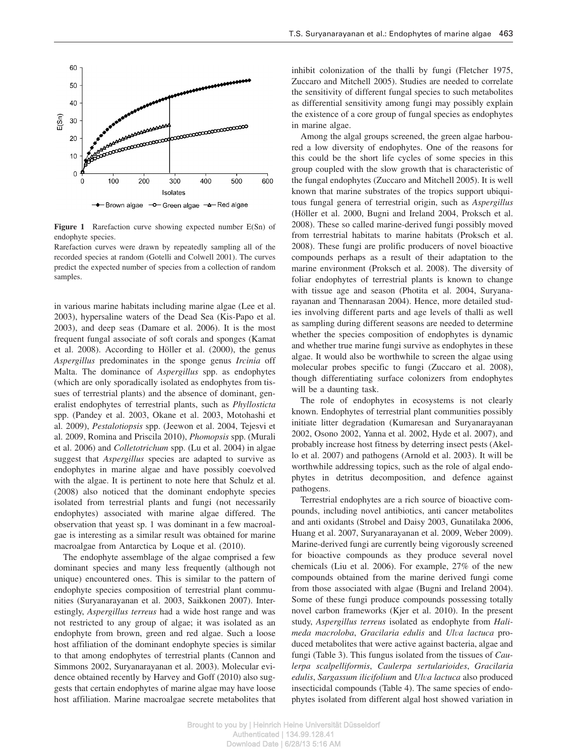

Figure 1 Rarefaction curve showing expected number E(Sn) of endophyte species.

Rarefaction curves were drawn by repeatedly sampling all of the recorded species at random (Gotelli and Colwell 2001). The curves predict the expected number of species from a collection of random samples.

in various marine habitats including marine algae (Lee et al. 2003), hypersaline waters of the Dead Sea (Kis-Papo et al. 2003), and deep seas (Damare et al. 2006). It is the most frequent fungal associate of soft corals and sponges (Kamat et al.  $2008$ ). According to Höller et al.  $(2000)$ , the genus *Aspergillus* predominates in the sponge genus *Ircinia* off Malta. The dominance of *Aspergillus* spp. as endophytes (which are only sporadically isolated as endophytes from tissues of terrestrial plants) and the absence of dominant, generalist endophytes of terrestrial plants, such as *Phyllosticta* spp. (Pandey et al. 2003, Okane et al. 2003, Motohashi et al. 2009), *Pestalotiopsis* spp. (Jeewon et al. 2004, Tejesvi et al. 2009, Romina and Priscila 2010), *Phomopsis* spp. (Murali et al. 2006) and *Colletotrichum* spp. (Lu et al. 2004) in algae suggest that *Aspergillus* species are adapted to survive as endophytes in marine algae and have possibly coevolved with the algae. It is pertinent to note here that Schulz et al. (2008) also noticed that the dominant endophyte species isolated from terrestrial plants and fungi (not necessarily endophytes) associated with marine algae differed. The observation that yeast sp. 1 was dominant in a few macroalgae is interesting as a similar result was obtained for marine macroalgae from Antarctica by Loque et al. (2010).

The endophyte assemblage of the algae comprised a few dominant species and many less frequently (although not unique) encountered ones. This is similar to the pattern of endophyte species composition of terrestrial plant communities (Suryanarayanan et al. 2003, Saikkonen 2007). Interestingly, *Aspergillus terreus* had a wide host range and was not restricted to any group of algae; it was isolated as an endophyte from brown, green and red algae. Such a loose host affiliation of the dominant endophyte species is similar to that among endophytes of terrestrial plants (Cannon and Simmons 2002, Suryanarayanan et al. 2003). Molecular evidence obtained recently by Harvey and Goff (2010) also suggests that certain endophytes of marine algae may have loose host affiliation. Marine macroalgae secrete metabolites that inhibit colonization of the thalli by fungi (Fletcher 1975, Zuccaro and Mitchell 2005). Studies are needed to correlate the sensitivity of different fungal species to such metabolites as differential sensitivity among fungi may possibly explain the existence of a core group of fungal species as endophytes in marine algae.

Among the algal groups screened, the green algae harboured a low diversity of endophytes. One of the reasons for this could be the short life cycles of some species in this group coupled with the slow growth that is characteristic of the fungal endophytes (Zuccaro and Mitchell 2005). It is well known that marine substrates of the tropics support ubiquitous fungal genera of terrestrial origin, such as *Aspergillus* (Höller et al. 2000, Bugni and Ireland 2004, Proksch et al. 2008). These so called marine-derived fungi possibly moved from terrestrial habitats to marine habitats (Proksch et al. 2008). These fungi are prolific producers of novel bioactive compounds perhaps as a result of their adaptation to the marine environment (Proksch et al. 2008). The diversity of foliar endophytes of terrestrial plants is known to change with tissue age and season (Photita et al. 2004, Suryanarayanan and Thennarasan 2004). Hence, more detailed studies involving different parts and age levels of thalli as well as sampling during different seasons are needed to determine whether the species composition of endophytes is dynamic and whether true marine fungi survive as endophytes in these algae. It would also be worthwhile to screen the algae using molecular probes specific to fungi (Zuccaro et al. 2008), though differentiating surface colonizers from endophytes will be a daunting task.

The role of endophytes in ecosystems is not clearly known. Endophytes of terrestrial plant communities possibly initiate litter degradation (Kumaresan and Suryanarayanan 2002, Osono 2002, Yanna et al. 2002, Hyde et al. 2007), and probably increase host fitness by deterring insect pests (Akello et al. 2007) and pathogens (Arnold et al. 2003). It will be worthwhile addressing topics, such as the role of algal endophytes in detritus decomposition, and defence against pathogens.

Terrestrial endophytes are a rich source of bioactive compounds, including novel antibiotics, anti cancer metabolites and anti oxidants (Strobel and Daisy 2003, Gunatilaka 2006, Huang et al. 2007, Suryanarayanan et al. 2009, Weber 2009). Marine-derived fungi are currently being vigorously screened for bioactive compounds as they produce several novel chemicals (Liu et al. 2006). For example, 27% of the new compounds obtained from the marine derived fungi come from those associated with algae (Bugni and Ireland 2004). Some of these fungi produce compounds possessing totally novel carbon frameworks (Kjer et al. 2010). In the present study, *Aspergillus terreus* isolated as endophyte from *Halimeda macroloba*, *Gracilaria edulis* and *Ulva lactuca* produced metabolites that were active against bacteria, algae and fungi (Table 3). This fungus isolated from the tissues of *Caulerpa scalpelliformis*, *Caulerpa sertularioides*, *Gracilaria edulis*, *Sargassum ilicifolium* and *Ulva lactuca* also produced insecticidal compounds (Table 4). The same species of endophytes isolated from different algal host showed variation in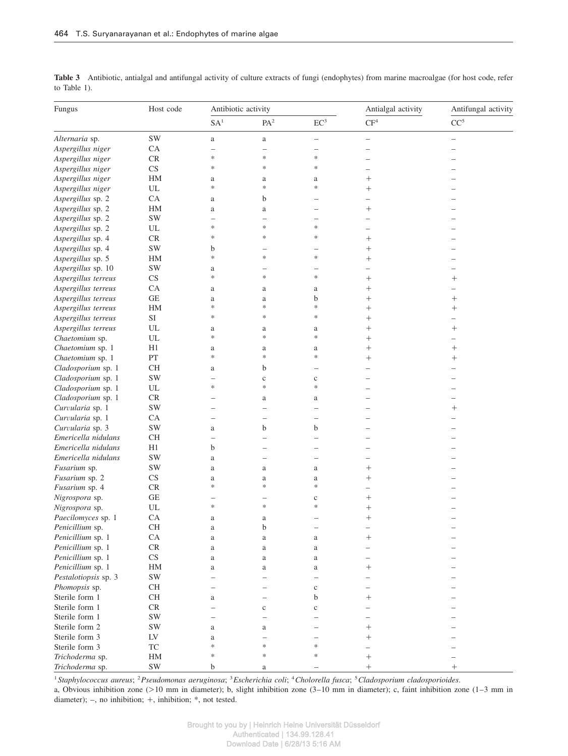| Fungus               | Host code                   | Antibiotic activity      |                          |                   | Antialgal activity       | Antifungal activity      |
|----------------------|-----------------------------|--------------------------|--------------------------|-------------------|--------------------------|--------------------------|
|                      |                             | SA <sup>1</sup>          | PA <sup>2</sup>          | EC <sup>3</sup>   | CF <sup>4</sup>          | CC <sup>5</sup>          |
| Alternaria sp.       | SW                          | a                        | a                        | $\qquad \qquad -$ | $\qquad \qquad -$        | $\overline{\phantom{0}}$ |
| Aspergillus niger    | CA                          | L,                       | $\overline{\phantom{0}}$ | L,                | ▃                        |                          |
| Aspergillus niger    | ${\rm CR}$                  | *                        | *                        | $\ast$            | ÷,                       |                          |
| Aspergillus niger    | $\mathop{\rm CS}\nolimits$  | *                        | *                        | $\ast$            | Ĭ.                       |                          |
| Aspergillus niger    | HM                          | a                        | a                        | a                 | $^{+}$                   |                          |
| Aspergillus niger    | UL                          | *                        | $\ast$                   | *                 | $^{+}$                   |                          |
| Aspergillus sp. 2    | CA                          | a                        | b                        |                   | $\overline{\phantom{0}}$ |                          |
| Aspergillus sp. 2    | HM                          | a                        | a                        |                   |                          |                          |
| Aspergillus sp. 2    | SW                          | -                        |                          |                   |                          |                          |
| Aspergillus sp. 2    | UL                          | *                        | $\ast$                   | *                 |                          |                          |
| Aspergillus sp. 4    | $\mathsf{CR}$               | ∗                        | $\ast$                   | *                 |                          |                          |
| Aspergillus sp. 4    | SW                          | b                        |                          |                   | $^{+}$                   |                          |
| Aspergillus sp. 5    | HM                          | $\ast$                   | $\ast$                   | $\ast$            | $+$                      |                          |
| Aspergillus sp. 10   | SW                          | a                        |                          |                   |                          |                          |
| Aspergillus terreus  | CS                          | $\ast$                   | $\ast$                   | $\ast$            | $^{+}$                   | $^{+}$                   |
| Aspergillus terreus  | CA                          | a                        | a                        | a                 | $^{+}$                   |                          |
| Aspergillus terreus  | GE                          | a                        | a                        | b                 | $^{+}$                   | $^{+}$                   |
| Aspergillus terreus  | HM                          | *                        | $\ast$                   | ∗                 | $^{+}$                   | $^{+}$                   |
| Aspergillus terreus  | $\rm SI$                    | *                        | $\ast$                   | $\ast$            | $^{+}$                   |                          |
| Aspergillus terreus  | $\ensuremath{\mathrm{UL}}$  | a                        | a                        | a                 | $^{+}$                   | $^{+}$                   |
| Chaetomium sp.       | UL                          | *                        | $\ast$                   | $\ast$            | $^{+}$                   |                          |
| Chaetomium sp. 1     | H1                          | a                        | $\rm{a}$                 | a                 | $^{+}$                   | $^{+}$                   |
| Chaetomium sp. 1     | PT                          | *                        | $\ast$                   | $\ast$            | $^{+}$                   | $^+$                     |
| Cladosporium sp. 1   | <b>CH</b>                   | a                        | b                        |                   | $\overline{\phantom{0}}$ |                          |
| Cladosporium sp. 1   | <b>SW</b>                   | $\overline{\phantom{0}}$ | $\mathbf{C}$             | $\mathbf c$       |                          |                          |
| Cladosporium sp. 1   | UL                          | $\ast$                   | $\ast$                   | $\ast$            |                          |                          |
| Cladosporium sp. 1   | CR                          |                          | a                        | a                 |                          |                          |
| Curvularia sp. 1     | SW                          | -                        | $\overline{\phantom{0}}$ |                   |                          | $^{+}$                   |
| Curvularia sp. 1     | CA                          | -                        | $\overline{\phantom{0}}$ |                   |                          |                          |
| Curvularia sp. 3     | SW                          | a                        | b                        | b                 |                          |                          |
| Emericella nidulans  | CH                          | Ĭ.                       |                          |                   |                          |                          |
| Emericella nidulans  | H1                          | b                        |                          |                   |                          |                          |
| Emericella nidulans  | <b>SW</b>                   | a                        |                          |                   |                          |                          |
| Fusarium sp.         | SW                          | a                        | a                        | a                 | $^{+}$                   |                          |
| Fusarium sp. 2       | CS                          | a                        | $\rm{a}$                 | a                 | $^{+}$                   |                          |
| Fusarium sp. 4       | $\mathcal{C}\mathcal{R}$    | $\ast$                   | $\ast$                   | $\ast$            |                          |                          |
| Nigrospora sp.       | $\operatorname{GE}$         |                          |                          | $\mathbf c$       | $^{+}$                   |                          |
| Nigrospora sp.       | $\ensuremath{\mathrm{UL}}$  | *                        | $\ast$                   | *                 | $^{+}$                   |                          |
| Paecilomyces sp. 1   | CA                          | a                        | $\rm{a}$                 |                   | $^{+}$                   |                          |
| Penicillium sp.      | <b>CH</b>                   | a                        | b                        |                   |                          |                          |
| Penicillium sp. 1    | CA                          | a                        | a                        | a                 | $^{+}$                   |                          |
| Penicillium sp. 1    | $\mathsf{CR}$               | a                        | a                        | $\rm{a}$          |                          |                          |
| Penicillium sp. 1    | $\mathbb{C}\mathbf{S}$      | a                        | a                        | $\rm{a}$          | Ĭ.                       |                          |
| Penicillium sp. 1    | HM                          | a                        | a                        | $\rm{a}$          | $^{+}$                   |                          |
| Pestalotiopsis sp. 3 | SW                          | $\equiv$                 | $\overline{\phantom{0}}$ |                   |                          |                          |
| Phomopsis sp.        | <b>CH</b>                   | $\overline{\phantom{0}}$ |                          | $\mathbf C$       |                          |                          |
| Sterile form 1       | <b>CH</b>                   | a                        |                          | $\mathbf b$       |                          |                          |
| Sterile form 1       | CR                          | $\overline{\phantom{0}}$ | $\mathbf c$              | $\mathbf c$       |                          |                          |
| Sterile form 1       | $\mathrm{SW}$               | $\overline{\phantom{0}}$ | Ē,                       |                   | $\overline{\phantom{0}}$ |                          |
| Sterile form 2       | $\mathrm{SW}$               | a                        | a                        |                   | $^{+}$                   |                          |
| Sterile form 3       | LV                          | a                        |                          |                   | $+$                      |                          |
| Sterile form 3       | $\protect\operatorname{TC}$ | $\ast$                   | $\ast$                   | $\ast$            |                          |                          |
| Trichoderma sp.      | HM                          | $\ast$                   | $\ast$                   | $\ast$            |                          |                          |
| Trichoderma sp.      | SW                          | b                        | a                        | -                 |                          | $+$                      |

**Table 3** Antibiotic, antialgal and antifungal activity of culture extracts of fungi (endophytes) from marine macroalgae (for host code, refer to Table 1).

1 *Staphylococcus aureus*; <sup>2</sup>*Pseudomonas aeruginosa*; <sup>3</sup>*Escherichia coli*; <sup>4</sup>*Cholorella fusca*; <sup>5</sup>*Cladosporium cladosporioides*.

a, Obvious inhibition zone  $(>10$  mm in diameter); b, slight inhibition zone  $(3-10$  mm in diameter); c, faint inhibition zone  $(1-3$  mm in diameter);  $-$ , no inhibition;  $+$ , inhibition;  $*$ , not tested.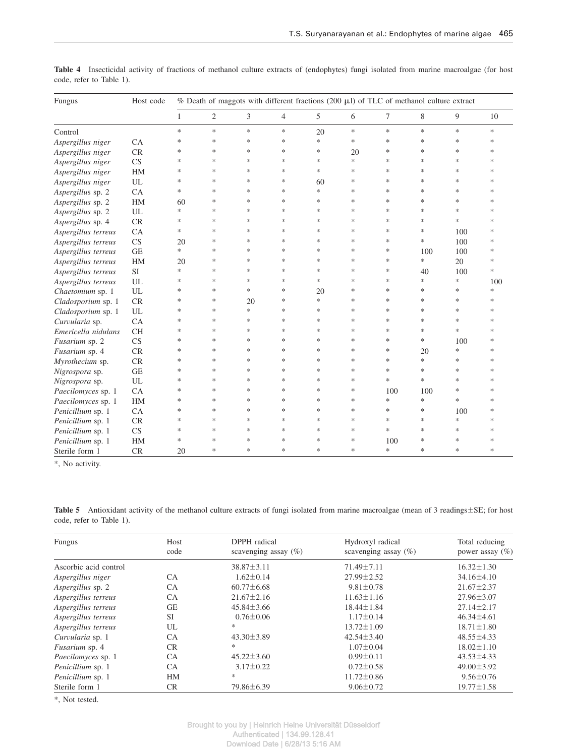| Fungus              | Host code |              |                |        |                |        |        | $%$ Death of maggots with different fractions (200 $\mu$ l) of TLC of methanol culture extract |        |        |        |
|---------------------|-----------|--------------|----------------|--------|----------------|--------|--------|------------------------------------------------------------------------------------------------|--------|--------|--------|
|                     |           | $\mathbf{1}$ | $\overline{2}$ | 3      | $\overline{4}$ | 5      | 6      | 7                                                                                              | 8      | 9      | 10     |
| Control             |           | $\ast$       | $\ast$         | $\ast$ | $\ast$         | 20     | $\ast$ | $\ast$                                                                                         | $\ast$ | $\ast$ | $\ast$ |
| Aspergillus niger   | CA        | *            | $\ast$         | $\ast$ | $\ast$         | $\ast$ | $\ast$ | $\ast$                                                                                         | $\ast$ | $\ast$ | $\ast$ |
| Aspergillus niger   | CR        | *            | $\ast$         | $\ast$ | $\ast$         | *      | 20     | $\ast$                                                                                         | $\ast$ | $\ast$ | $\ast$ |
| Aspergillus niger   | <b>CS</b> | *            | $\ast$         | $\ast$ | $\ast$         | $\ast$ | $\ast$ | $\ast$                                                                                         | $\ast$ | $\ast$ | $\ast$ |
| Aspergillus niger   | HM        | *            | $\ast$         | $\ast$ | $\ast$         | $\ast$ | $\ast$ | *                                                                                              | $\ast$ | *      | $\ast$ |
| Aspergillus niger   | UL        | *            | $\ast$         | $\ast$ | $\ast$         | 60     | $\ast$ | $\ast$                                                                                         | $\ast$ | $\ast$ | $\ast$ |
| Aspergillus sp. 2   | CA        | *            | $\ast$         | $\ast$ | $\ast$         | $\ast$ | $\ast$ | $\ast$                                                                                         | $\ast$ | $\ast$ | $\ast$ |
| Aspergillus sp. 2   | HM        | 60           | $\ast$         | $\ast$ | $\ast$         | $\ast$ | $\ast$ | $\ast$                                                                                         | $\ast$ | $\ast$ | $\ast$ |
| Aspergillus sp. 2   | UL        | *            | $\ast$         | $\ast$ | $\ast$         | $\ast$ | $\ast$ | $\ast$                                                                                         | $\ast$ | $\ast$ | $\ast$ |
| Aspergillus sp. 4   | CR        | *            | $\ast$         | $\ast$ | $\ast$         | $\ast$ | $\ast$ | $\ast$                                                                                         | $\ast$ | $\ast$ | $\ast$ |
| Aspergillus terreus | CA        | *            | $\ast$         | $\ast$ | $\ast$         | $\ast$ | $\ast$ | $\ast$                                                                                         | $\ast$ | 100    | $\ast$ |
| Aspergillus terreus | <b>CS</b> | 20           | $\ast$         | $\ast$ | $\ast$         | $\ast$ | $\ast$ | *                                                                                              | $\ast$ | 100    | $\ast$ |
| Aspergillus terreus | <b>GE</b> | *            | $\ast$         | *      | $\ast$         | $\ast$ | $\ast$ | *                                                                                              | 100    | 100    | $\ast$ |
| Aspergillus terreus | HM        | 20           | *              | $\ast$ | $\ast$         | $\ast$ | *      | *                                                                                              | *      | 20     | $\ast$ |
| Aspergillus terreus | SI        | *            | ∗              | $\ast$ | $\ast$         | *      | *      | *                                                                                              | 40     | 100    | $\ast$ |
| Aspergillus terreus | UL        | *            | ∗              | $\ast$ | $\ast$         | $\ast$ | $\ast$ | *                                                                                              | *      | $\ast$ | 100    |
| Chaetomium sp. 1    | UL        | *            | ∗              | *      | $\ast$         | 20     | *      | *                                                                                              | ∗      | *      | $\ast$ |
| Cladosporium sp. 1  | CR        | *            | *              | 20     | $\ast$         | $\ast$ | *      | *                                                                                              | *      | $\ast$ | $\ast$ |
| Cladosporium sp. 1  | UL        | *            | ∗              | $\ast$ | $\ast$         | $\ast$ | ∗      | *                                                                                              | $\ast$ | *      | $\ast$ |
| Curvularia sp.      | CA        | *            | $\ast$         | $\ast$ | $\ast$         | $\ast$ | $\ast$ | $\ast$                                                                                         | $\ast$ | $\ast$ | $\ast$ |
| Emericella nidulans | <b>CH</b> | ∗            | $\ast$         | $\ast$ | $\ast$         | $\ast$ | $\ast$ | $\ast$                                                                                         | ∗      | $\ast$ | $\ast$ |
| Fusarium sp. 2      | CS        | *            | $\ast$         | $\ast$ | $\ast$         | $\ast$ | *      | $\ast$                                                                                         | $\ast$ | 100    | $\ast$ |
| Fusarium sp. 4      | CR        | *            | $\ast$         | $\ast$ | $\ast$         | $\ast$ | $\ast$ | *                                                                                              | 20     | $\ast$ | $\ast$ |
| Myrothecium sp.     | CR        | *            | $\ast$         | $\ast$ | $\ast$         | $\ast$ | $\ast$ | *                                                                                              | $\ast$ | $\ast$ | $\ast$ |
| Nigrospora sp.      | <b>GE</b> | *            | $\ast$         | $\ast$ | $\ast$         | $\ast$ | $\ast$ | $\ast$                                                                                         | $\ast$ | $\ast$ | $\ast$ |
| Nigrospora sp.      | UL        | *            | $\ast$         | $\ast$ | $\ast$         | $\ast$ | $\ast$ | *                                                                                              | $\ast$ | $\ast$ | $\ast$ |
| Paecilomyces sp. 1  | CA        | $\ast$       | $\ast$         | $\ast$ | $\ast$         | $\ast$ | $\ast$ | 100                                                                                            | 100    | $\ast$ | $\ast$ |
| Paecilomyces sp. 1  | HM        | *            | $\ast$         | $\ast$ | $\ast$         | $\ast$ | $\ast$ | *                                                                                              | $\ast$ | $\ast$ | $\ast$ |
| Penicillium sp. 1   | CA        | *            | $\ast$         | $\ast$ | $\ast$         | $\ast$ | $\ast$ | $\ast$                                                                                         | $\ast$ | 100    | $\ast$ |
| Penicillium sp. 1   | CR        | *            | $\ast$         | $\ast$ | $\ast$         | $\ast$ | $\ast$ | $\ast$                                                                                         | $\ast$ | $\ast$ | $\ast$ |
| Penicillium sp. 1   | <b>CS</b> | $\ast$       | $\ast$         | $\ast$ | $\ast$         | $\ast$ | $\ast$ | $\ast$                                                                                         | $\ast$ | $\ast$ | $\ast$ |
| Penicillium sp. 1   | HM        | *            | $\ast$         | $\ast$ | $\ast$         | *      | $\ast$ | 100                                                                                            | $\ast$ | $\ast$ | $\ast$ |
| Sterile form 1      | CR        | 20           | $\ast$         | *      | $\ast$         | $\ast$ | $\ast$ | *                                                                                              | $\ast$ | $\ast$ | $\ast$ |

**Table 4** Insecticidal activity of fractions of methanol culture extracts of (endophytes) fungi isolated from marine macroalgae (for host code, refer to Table 1).

\*, No activity.

**Table 5** Antioxidant activity of the methanol culture extracts of fungi isolated from marine macroalgae (mean of 3 readings  $\pm$ SE; for host code, refer to Table 1).

| <b>Fungus</b>         | Host      | DPPH radical             | Hydroxyl radical        | Total reducing      |
|-----------------------|-----------|--------------------------|-------------------------|---------------------|
|                       | code      | scavenging assay $(\% )$ | scavenging assay $(\%)$ | power assay $(\% )$ |
| Ascorbic acid control |           | $38.87 \pm 3.11$         | $71.49 \pm 7.11$        | $16.32 \pm 1.30$    |
| Aspergillus niger     | <b>CA</b> | $1.62 \pm 0.14$          | $27.99 \pm 2.52$        | $34.16 \pm 4.10$    |
| Aspergillus sp. 2     | <b>CA</b> | $60.77 \pm 6.68$         | $9.81 \pm 0.78$         | $21.67 \pm 2.37$    |
| Aspergillus terreus   | <b>CA</b> | $21.67 \pm 2.16$         | $11.63 \pm 1.16$        | $27.96 \pm 3.07$    |
| Aspergillus terreus   | <b>GE</b> | $45.84 \pm 3.66$         | $18.44 \pm 1.84$        | $27.14 \pm 2.17$    |
| Aspergillus terreus   | <b>SI</b> | $0.76 \pm 0.06$          | $1.17 \pm 0.14$         | $46.34 \pm 4.61$    |
| Aspergillus terreus   | UL        | *                        | $13.72 \pm 1.09$        | $18.71 \pm 1.80$    |
| Curvularia sp. 1      | <b>CA</b> | $43.30 \pm 3.89$         | $42.54 \pm 3.40$        | $48.55 \pm 4.33$    |
| Fusarium sp. 4        | <b>CR</b> | $\ast$                   | $1.07 \pm 0.04$         | $18.02 \pm 1.10$    |
| Paecilomyces sp. 1    | <b>CA</b> | $45.22 \pm 3.60$         | $0.99 \pm 0.11$         | $43.53 \pm 4.33$    |
| Penicillium sp. 1     | CA.       | $3.17 \pm 0.22$          | $0.72 \pm 0.58$         | $49.00 \pm 3.92$    |
| Penicillium sp. 1     | HM        | *                        | $11.72 \pm 0.86$        | $9.56 \pm 0.76$     |
| Sterile form 1        | CR.       | 79.86±6.39               | $9.06 \pm 0.72$         | $19.77 \pm 1.58$    |

\*, Not tested.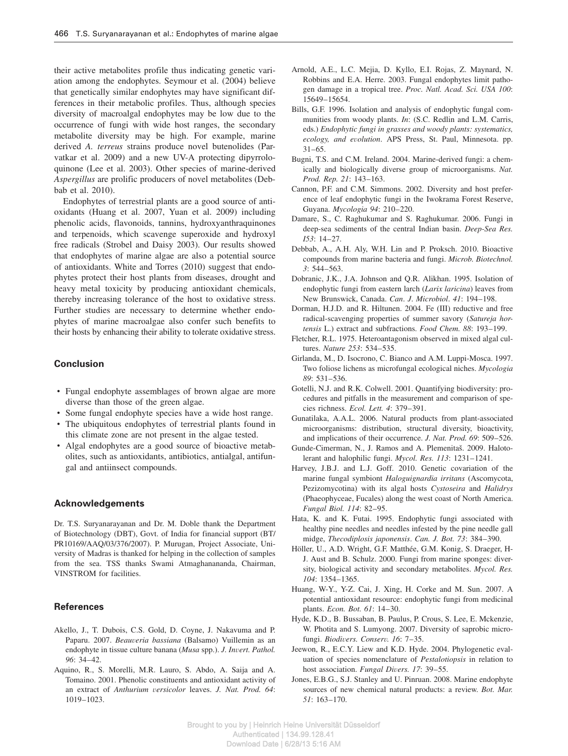their active metabolites profile thus indicating genetic variation among the endophytes. Seymour et al. (2004) believe that genetically similar endophytes may have significant differences in their metabolic profiles. Thus, although species diversity of macroalgal endophytes may be low due to the occurrence of fungi with wide host ranges, the secondary metabolite diversity may be high. For example, marine derived *A. terreus* strains produce novel butenolides (Parvatkar et al. 2009) and a new UV-A protecting dipyrroloquinone (Lee et al. 2003). Other species of marine-derived *Aspergillus* are prolific producers of novel metabolites (Debbab et al. 2010).

Endophytes of terrestrial plants are a good source of antioxidants (Huang et al. 2007, Yuan et al. 2009) including phenolic acids, flavonoids, tannins, hydroxyanthraquinones and terpenoids, which scavenge superoxide and hydroxyl free radicals (Strobel and Daisy 2003). Our results showed that endophytes of marine algae are also a potential source of antioxidants. White and Torres (2010) suggest that endophytes protect their host plants from diseases, drought and heavy metal toxicity by producing antioxidant chemicals, thereby increasing tolerance of the host to oxidative stress. Further studies are necessary to determine whether endophytes of marine macroalgae also confer such benefits to their hosts by enhancing their ability to tolerate oxidative stress.

## **Conclusion**

- Fungal endophyte assemblages of brown algae are more diverse than those of the green algae.
- Some fungal endophyte species have a wide host range.
- The ubiquitous endophytes of terrestrial plants found in this climate zone are not present in the algae tested.
- Algal endophytes are a good source of bioactive metabolites, such as antioxidants, antibiotics, antialgal, antifungal and antiinsect compounds.

## **Acknowledgements**

Dr. T.S. Suryanarayanan and Dr. M. Doble thank the Department of Biotechnology (DBT), Govt. of India for financial support (BT/ PR10169/AAQ/03/376/2007). P. Murugan, Project Associate, University of Madras is thanked for helping in the collection of samples from the sea. TSS thanks Swami Atmaghanananda, Chairman, VINSTROM for facilities.

## **References**

- Akello, J., T. Dubois, C.S. Gold, D. Coyne, J. Nakavuma and P. Paparu. 2007. *Beauveria bassiana* (Balsamo) Vuillemin as an endophyte in tissue culture banana (*Musa* spp.). *J. Invert. Pathol. 96*: 34–42.
- Aquino, R., S. Morelli, M.R. Lauro, S. Abdo, A. Saija and A. Tomaino. 2001. Phenolic constituents and antioxidant activity of an extract of *Anthurium versicolor* leaves. *J. Nat. Prod. 64*: 1019–1023.
- Arnold, A.E., L.C. Mejia, D. Kyllo, E.I. Rojas, Z. Maynard, N. Robbins and E.A. Herre. 2003. Fungal endophytes limit pathogen damage in a tropical tree. *Proc. Natl. Acad. Sci. USA 100*: 15649–15654.
- Bills, G.F. 1996. Isolation and analysis of endophytic fungal communities from woody plants. *In*: (S.C. Redlin and L.M. Carris, eds.) *Endophytic fungi in grasses and woody plants: systematics, ecology, and evolution*. APS Press, St. Paul, Minnesota. pp. 31–65.
- Bugni, T.S. and C.M. Ireland. 2004. Marine-derived fungi: a chemically and biologically diverse group of microorganisms. *Nat. Prod. Rep. 21*: 143–163.
- Cannon, P.F. and C.M. Simmons. 2002. Diversity and host preference of leaf endophytic fungi in the Iwokrama Forest Reserve, Guyana. *Mycologia 94*: 210–220.
- Damare, S., C. Raghukumar and S. Raghukumar. 2006. Fungi in deep-sea sediments of the central Indian basin. *Deep-Sea Res. I53*: 14–27.
- Debbab, A., A.H. Aly, W.H. Lin and P. Proksch. 2010. Bioactive compounds from marine bacteria and fungi. *Microb. Biotechnol. 3*: 544–563.
- Dobranic, J.K., J.A. Johnson and Q.R. Alikhan. 1995. Isolation of endophytic fungi from eastern larch (*Larix laricina*) leaves from New Brunswick, Canada. *Can*. *J*. *Microbiol*. *41*: 194–198.
- Dorman, H.J.D. and R. Hiltunen. 2004. Fe (III) reductive and free radical-scavenging properties of summer savory (*Satureja hortensis* L.) extract and subfractions. *Food Chem. 88*: 193–199.
- Fletcher, R.L. 1975. Heteroantagonism observed in mixed algal cultures. *Nature 253*: 534–535.
- Girlanda, M., D. Isocrono, C. Bianco and A.M. Luppi-Mosca. 1997. Two foliose lichens as microfungal ecological niches. *Mycologia 89*: 531–536.
- Gotelli, N.J. and R.K. Colwell. 2001. Quantifying biodiversity: procedures and pitfalls in the measurement and comparison of species richness. *Ecol. Lett. 4*: 379–391.
- Gunatilaka, A.A.L. 2006. Natural products from plant-associated microorganisms: distribution, structural diversity, bioactivity, and implications of their occurrence. *J. Nat. Prod. 69*: 509–526.
- Gunde-Cimerman, N., J. Ramos and A. Plemenitaš. 2009. Halotolerant and halophilic fungi. *Mycol. Res. 113*: 1231–1241.
- Harvey, J.B.J. and L.J. Goff. 2010. Genetic covariation of the marine fungal symbiont *Haloguignardia irritans* (Ascomycota, Pezizomycotina) with its algal hosts *Cystoseira* and *Halidrys* (Phaeophyceae, Fucales) along the west coast of North America. *Fungal Biol. 114*: 82–95.
- Hata, K. and K. Futai. 1995. Endophytic fungi associated with healthy pine needles and needles infested by the pine needle gall midge, *Thecodiplosis japonensis*. *Can. J. Bot. 73*: 384–390.
- Höller, U., A.D. Wright, G.F. Matthée, G.M. Konig, S. Draeger, H-J. Aust and B. Schulz. 2000. Fungi from marine sponges: diversity, biological activity and secondary metabolites. *Mycol. Res. 104*: 1354–1365.
- Huang, W-Y., Y-Z. Cai, J. Xing, H. Corke and M. Sun. 2007. A potential antioxidant resource: endophytic fungi from medicinal plants. *Econ. Bot. 61*: 14–30.
- Hyde, K.D., B. Bussaban, B. Paulus, P. Crous, S. Lee, E. Mckenzie, W. Photita and S. Lumyong. 2007. Diversity of saprobic microfungi. *Biodivers. Conserv. 16*: 7–35.
- Jeewon, R., E.C.Y. Liew and K.D. Hyde. 2004. Phylogenetic evaluation of species nomenclature of *Pestalotiopsis* in relation to host association. *Fungal Divers. 17*: 39–55.
- Jones, E.B.G., S.J. Stanley and U. Pinruan. 2008. Marine endophyte sources of new chemical natural products: a review. *Bot. Mar. 51*: 163–170.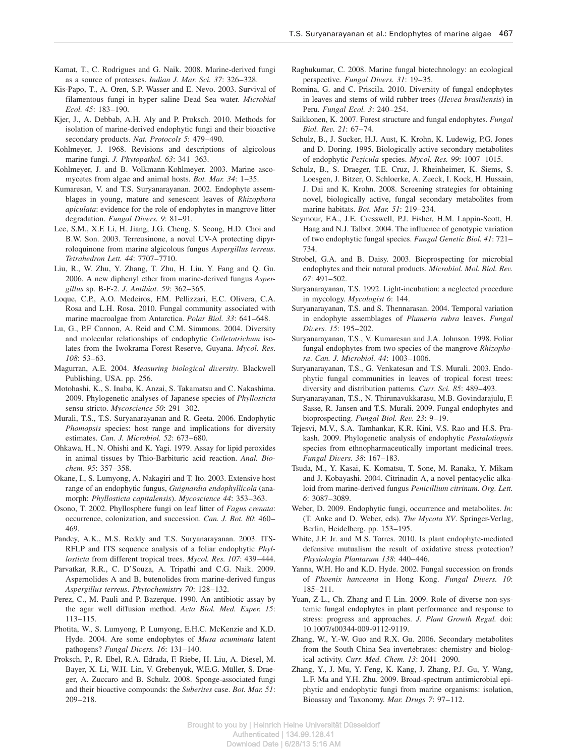- Kamat, T., C. Rodrigues and G. Naik. 2008. Marine-derived fungi as a source of proteases. *Indian J. Mar. Sci. 37*: 326–328.
- Kis-Papo, T., A. Oren, S.P. Wasser and E. Nevo. 2003. Survival of filamentous fungi in hyper saline Dead Sea water. *Microbial Ecol. 45*: 183–190.
- Kjer, J., A. Debbab, A.H. Aly and P. Proksch. 2010. Methods for isolation of marine-derived endophytic fungi and their bioactive secondary products. *Nat. Protocols 5*: 479–490.
- Kohlmeyer, J. 1968. Revisions and descriptions of algicolous marine fungi. *J. Phytopathol. 63*: 341–363.
- Kohlmeyer, J. and B. Volkmann-Kohlmeyer. 2003. Marine ascomycetes from algae and animal hosts. *Bot. Mar. 34*: 1–35.
- Kumaresan, V. and T.S. Suryanarayanan. 2002. Endophyte assemblages in young, mature and senescent leaves of *Rhizophora apiculata*: evidence for the role of endophytes in mangrove litter degradation. *Fungal Divers. 9*: 81–91.
- Lee, S.M., X.F. Li, H. Jiang, J.G. Cheng, S. Seong, H.D. Choi and B.W. Son. 2003. Terreusinone, a novel UV-A protecting dipyrroloquinone from marine algicolous fungus *Aspergillus terreus*. *Tetrahedron Lett. 44*: 7707–7710.
- Liu, R., W. Zhu, Y. Zhang, T. Zhu, H. Liu, Y. Fang and Q. Gu. 2006. A new diphenyl ether from marine-derived fungus *Aspergillus* sp. B-F-2. *J. Antibiot. 59*: 362–365.
- Loque, C.P., A.O. Medeiros, F.M. Pellizzari, E.C. Olivera, C.A. Rosa and L.H. Rosa. 2010. Fungal community associated with marine macroalgae from Antarctica. *Polar Biol. 33*: 641–648.
- Lu, G., P.F Cannon, A. Reid and C.M. Simmons. 2004. Diversity and molecular relationships of endophytic *Colletotrichum* isolates from the Iwokrama Forest Reserve, Guyana. *Mycol*. *Res*. *108*: 53–63.
- Magurran, A.E. 2004. *Measuring biological diversity*. Blackwell Publishing, USA. pp. 256.
- Motohashi, K., S. Inaba, K. Anzai, S. Takamatsu and C. Nakashima. 2009. Phylogenetic analyses of Japanese species of *Phyllosticta* sensu stricto. *Mycoscience 50*: 291–302.
- Murali, T.S., T.S. Suryanarayanan and R. Geeta. 2006. Endophytic *Phomopsis* species: host range and implications for diversity estimates. *Can. J. Microbiol. 52*: 673–680.
- Ohkawa, H., N. Ohishi and K. Yagi. 1979. Assay for lipid peroxides in animal tissues by Thio-Barbituric acid reaction. *Anal. Biochem. 95*: 357–358.
- Okane, I., S. Lumyong, A. Nakagiri and T. Ito. 2003. Extensive host range of an endophytic fungus, *Guignardia endophyllicola* (anamorph: *Phyllosticta capitalensis*). *Mycoscience 44*: 353–363.
- Osono, T. 2002. Phyllosphere fungi on leaf litter of *Fagus crenata*: occurrence, colonization, and succession. *Can. J. Bot. 80*: 460– 469.
- Pandey, A.K., M.S. Reddy and T.S. Suryanarayanan. 2003. ITS-RFLP and ITS sequence analysis of a foliar endophytic *Phyllosticta* from different tropical trees. *Mycol. Res. 107*: 439–444.
- Parvatkar, R.R., C. D'Souza, A. Tripathi and C.G. Naik. 2009. Aspernolides A and B, butenolides from marine-derived fungus *Aspergillus terreus*. *Phytochemistry 70*: 128–132.
- Perez, C., M. Pauli and P. Bazerque. 1990. An antibiotic assay by the agar well diffusion method. *Acta Biol. Med. Exper. 15*: 113–115.
- Photita, W., S. Lumyong, P. Lumyong, E.H.C. McKenzie and K.D. Hyde. 2004. Are some endophytes of *Musa acuminata* latent pathogens? *Fungal Divers. 16*: 131–140.
- Proksch, P., R. Ebel, R.A. Edrada, F. Riebe, H. Liu, A. Diesel, M. Bayer, X. Li, W.H. Lin, V. Grebenyuk, W.E.G. Müller, S. Draeger, A. Zuccaro and B. Schulz. 2008. Sponge-associated fungi and their bioactive compounds: the *Suberites* case. *Bot. Mar. 51*: 209–218.
- Raghukumar, C. 2008. Marine fungal biotechnology: an ecological perspective. *Fungal Divers. 31*: 19–35.
- Romina, G. and C. Priscila. 2010. Diversity of fungal endophytes in leaves and stems of wild rubber trees (*Hevea brasiliensis*) in Peru. *Fungal Ecol. 3*: 240–254.
- Saikkonen, K. 2007. Forest structure and fungal endophytes. *Fungal Biol. Rev. 21*: 67–74.
- Schulz, B., J. Sucker, H.J. Aust, K. Krohn, K. Ludewig, P.G. Jones and D. Doring. 1995. Biologically active secondary metabolites of endophytic *Pezicula* species. *Mycol. Res. 99*: 1007–1015.
- Schulz, B., S. Draeger, T.E. Cruz, J. Rheinheimer, K. Siems, S. Loesgen, J. Bitzer, O. Schloerke, A. Zeeck, I. Kock, H. Hussain, J. Dai and K. Krohn. 2008. Screening strategies for obtaining novel, biologically active, fungal secondary metabolites from marine habitats. *Bot. Mar. 51*: 219–234.
- Seymour, F.A., J.E. Cresswell, P.J. Fisher, H.M. Lappin-Scott, H. Haag and N.J. Talbot. 2004. The influence of genotypic variation of two endophytic fungal species. *Fungal Genetic Biol. 41*: 721– 734.
- Strobel, G.A. and B. Daisy. 2003. Bioprospecting for microbial endophytes and their natural products. *Microbiol. Mol. Biol. Rev. 67*: 491–502.
- Suryanarayanan, T.S. 1992. Light-incubation: a neglected procedure in mycology. *Mycologist 6*: 144.
- Suryanarayanan, T.S. and S. Thennarasan. 2004. Temporal variation in endophyte assemblages of *Plumeria rubra* leaves. *Fungal Divers. 15*: 195–202.
- Suryanarayanan, T.S., V. Kumaresan and J.A. Johnson. 1998. Foliar fungal endophytes from two species of the mangrove *Rhizophora*. *Can. J. Microbiol. 44*: 1003–1006.
- Suryanarayanan, T.S., G. Venkatesan and T.S. Murali. 2003. Endophytic fungal communities in leaves of tropical forest trees: diversity and distribution patterns. *Curr. Sci. 85*: 489–493.
- Suryanarayanan, T.S., N. Thirunavukkarasu, M.B. Govindarajulu, F. Sasse, R. Jansen and T.S. Murali. 2009. Fungal endophytes and bioprospecting. *Fungal Biol. Rev. 23*: 9–19.
- Tejesvi, M.V., S.A. Tamhankar, K.R. Kini, V.S. Rao and H.S. Prakash. 2009. Phylogenetic analysis of endophytic *Pestalotiopsis* species from ethnopharmaceutically important medicinal trees. *Fungal Divers. 38*: 167–183.
- Tsuda, M., Y. Kasai, K. Komatsu, T. Sone, M. Ranaka, Y. Mikam and J. Kobayashi. 2004. Citrinadin A, a novel pentacyclic alkaloid from marine-derived fungus *Penicillium citrinum*. *Org. Lett. 6*: 3087–3089.
- Weber, D. 2009. Endophytic fungi, occurrence and metabolites. *In*: (T. Anke and D. Weber, eds). *The Mycota XV*. Springer-Verlag, Berlin, Heidelberg. pp. 153–195.
- White, J.F. Jr. and M.S. Torres. 2010. Is plant endophyte-mediated defensive mutualism the result of oxidative stress protection? *Physiologia Plantarum 138*: 440–446.
- Yanna, W.H. Ho and K.D. Hyde. 2002. Fungal succession on fronds of *Phoenix hanceana* in Hong Kong. *Fungal Divers. 10*: 185–211.
- Yuan, Z-L., Ch. Zhang and F. Lin. 2009. Role of diverse non-systemic fungal endophytes in plant performance and response to stress: progress and approaches. *J. Plant Growth Regul.* doi: 10.1007/s00344-009-9112-9119.
- Zhang, W., Y.-W. Guo and R.X. Gu. 2006. Secondary metabolites from the South China Sea invertebrates: chemistry and biological activity. *Curr. Med. Chem. 13*: 2041–2090.
- Zhang, Y., J. Mu, Y. Feng, K. Kang, J. Zhang, P.J. Gu, Y. Wang, L.F. Ma and Y.H. Zhu. 2009. Broad-spectrum antimicrobial epiphytic and endophytic fungi from marine organisms: isolation, Bioassay and Taxonomy. *Mar. Drugs 7*: 97–112.